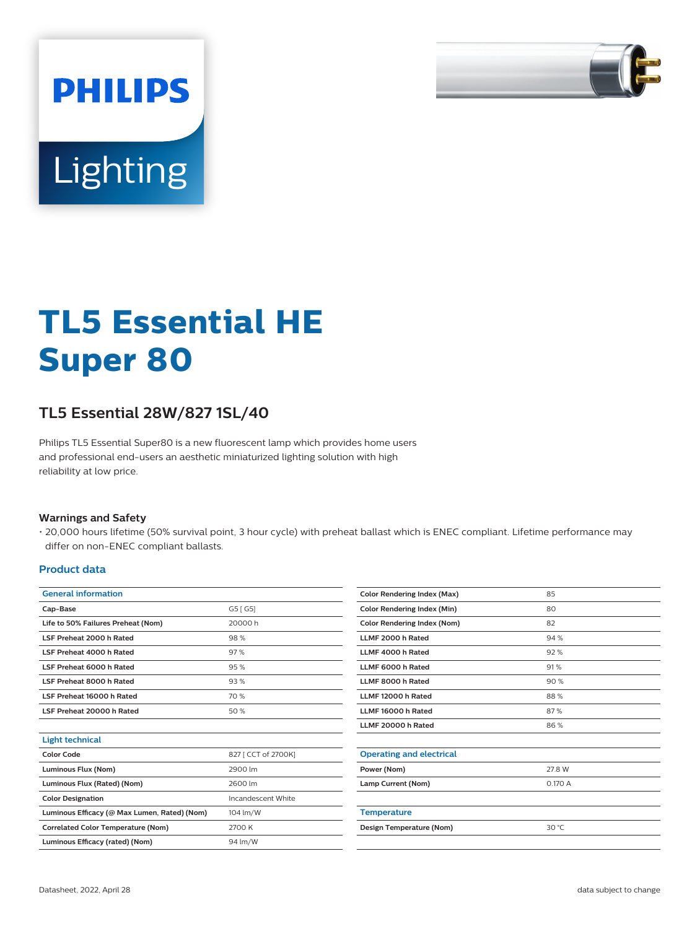

# **Lighting**

**PHILIPS** 

# **TL5 Essential HE Super 80**

# **TL5 Essential 28W/827 1SL/40**

Philips TL5 Essential Super80 is a new fluorescent lamp which provides home users and professional end-users an aesthetic miniaturized lighting solution with high reliability at low price.

#### **Warnings and Safety**

• 20,000 hours lifetime (50% survival point, 3 hour cycle) with preheat ballast which is ENEC compliant. Lifetime performance may differ on non-ENEC compliant ballasts.

#### **Product data**

| <b>General information</b>                   |                     |  |  |  |
|----------------------------------------------|---------------------|--|--|--|
| Cap-Base                                     | G5 [ G5]            |  |  |  |
| Life to 50% Failures Preheat (Nom)           | 20000 h             |  |  |  |
| LSF Preheat 2000 h Rated                     | 98%                 |  |  |  |
| LSF Preheat 4000 h Rated                     | 97%                 |  |  |  |
| LSF Preheat 6000 h Rated                     | 95%                 |  |  |  |
| LSF Preheat 8000 h Rated                     | 93%                 |  |  |  |
| LSF Preheat 16000 h Rated                    | 70 %                |  |  |  |
| LSF Preheat 20000 h Rated                    | 50%                 |  |  |  |
|                                              |                     |  |  |  |
| <b>Light technical</b>                       |                     |  |  |  |
| <b>Color Code</b>                            | 827 [ CCT of 2700K] |  |  |  |
| Luminous Flux (Nom)                          | 2900 lm             |  |  |  |
| Luminous Flux (Rated) (Nom)                  | 2600 lm             |  |  |  |
| <b>Color Designation</b>                     | Incandescent White  |  |  |  |
| Luminous Efficacy (@ Max Lumen, Rated) (Nom) | 104 lm/W            |  |  |  |
| <b>Correlated Color Temperature (Nom)</b>    | 2700 K              |  |  |  |
| Luminous Efficacy (rated) (Nom)              | 94 lm/W             |  |  |  |
|                                              |                     |  |  |  |

| <b>Color Rendering Index (Max)</b> | 85     |
|------------------------------------|--------|
| <b>Color Rendering Index (Min)</b> | 80     |
| <b>Color Rendering Index (Nom)</b> | 82     |
| LLMF 2000 h Rated                  | 94%    |
| LLMF 4000 h Rated                  | 92%    |
| LLMF 6000 h Rated                  | 91%    |
| LLMF 8000 h Rated                  | 90%    |
| LLMF 12000 h Rated                 | 88%    |
| LLMF 16000 h Rated                 | 87%    |
| LLMF 20000 h Rated                 | 86%    |
|                                    |        |
| <b>Operating and electrical</b>    |        |
| Power (Nom)                        | 27.8 W |
| Lamp Current (Nom)                 | 0.170A |
|                                    |        |
| <b>Temperature</b>                 |        |
| Design Temperature (Nom)           | 30 °C  |
|                                    |        |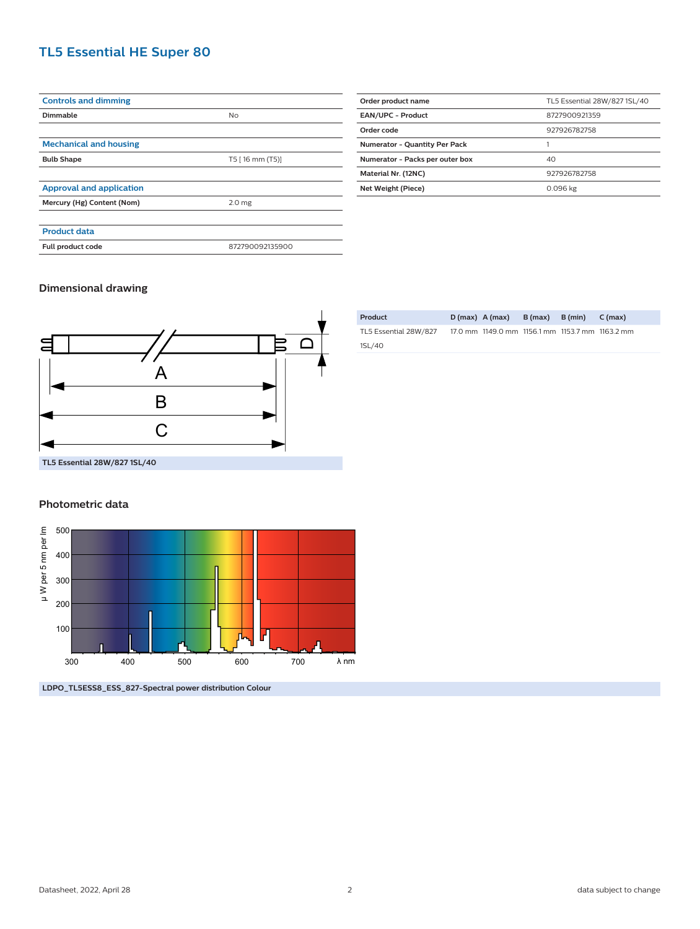## **TL5 Essential HE Super 80**

| <b>Controls and dimming</b>     |                   |  |  |
|---------------------------------|-------------------|--|--|
| Dimmable                        | <b>No</b>         |  |  |
|                                 |                   |  |  |
| <b>Mechanical and housing</b>   |                   |  |  |
| <b>Bulb Shape</b>               | T5 [16 mm (T5)]   |  |  |
|                                 |                   |  |  |
| <b>Approval and application</b> |                   |  |  |
| Mercury (Hg) Content (Nom)      | 2.0 <sub>mg</sub> |  |  |
|                                 |                   |  |  |
| <b>Product data</b>             |                   |  |  |
| Full product code               | 872790092135900   |  |  |
|                                 |                   |  |  |

| Order product name                   | TL5 Essential 28W/827 1SL/40 |  |  |
|--------------------------------------|------------------------------|--|--|
| <b>EAN/UPC - Product</b>             | 8727900921359                |  |  |
| Order code                           | 927926782758                 |  |  |
| <b>Numerator - Quantity Per Pack</b> |                              |  |  |
| Numerator - Packs per outer box      | 40                           |  |  |
| Material Nr. (12NC)                  | 927926782758                 |  |  |
| Net Weight (Piece)                   | 0.096 kg                     |  |  |

#### **Dimensional drawing**



| Product               | $D(max)$ A (max)                                | $B(max)$ $B(min)$ | $C \, (max)$ |
|-----------------------|-------------------------------------------------|-------------------|--------------|
| TL5 Essential 28W/827 | 17.0 mm 1149.0 mm 1156.1 mm 1153.7 mm 1163.2 mm |                   |              |
| 1SL/40                |                                                 |                   |              |

#### **Photometric data**



**LDPO\_TL5ESS8\_ESS\_827-Spectral power distribution Colour**